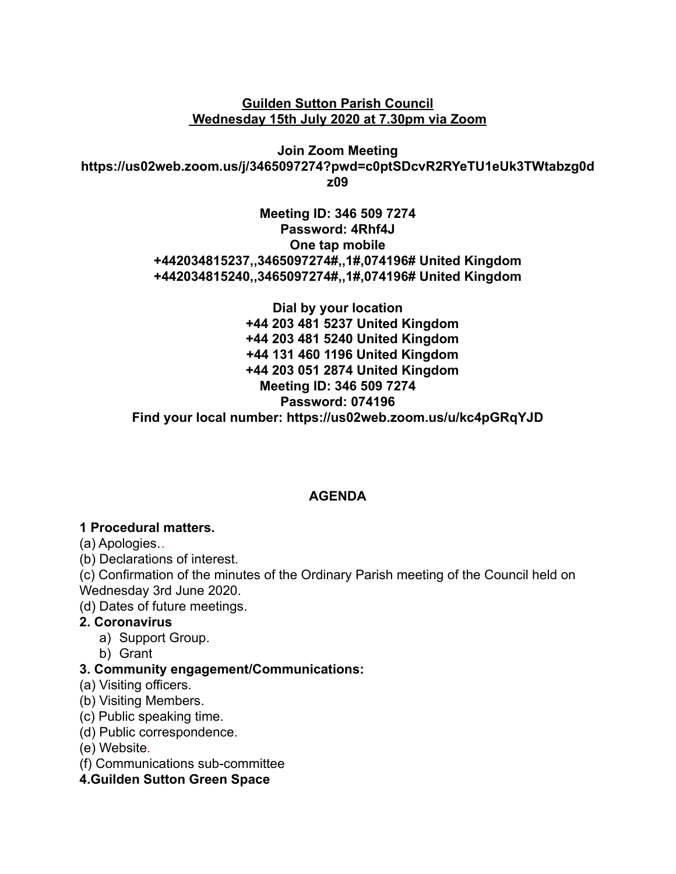**Guilden Sutton Parish Council Wednesday 15th July 2020 at 7.30pm via Zoom**

**Join Zoom Meeting https://us02web.zoom.us/j/3465097274?pwd=c0ptSDcvR2RYeTU1eUk3TWtabzg0d z09**

> **Meeting ID: 346 509 7274 Password: 4Rhf4J One tap mobile +442034815237,,3465097274#,,1#,074196# United Kingdom +442034815240,,3465097274#,,1#,074196# United Kingdom**

**Dial by your location +44 203 481 5237 United Kingdom +44 203 481 5240 United Kingdom +44 131 460 1196 United Kingdom +44 203 051 2874 United Kingdom Meeting ID: 346 509 7274 Password: 074196 Find your local number: https://us02web.zoom.us/u/kc4pGRqYJD**

### **AGENDA**

#### **1 Procedural matters.**

(a) Apologies..

(b) Declarations of interest.

(c) Confirmation of the minutes of the Ordinary Parish meeting of the Council held on Wednesday 3rd June 2020.

(d) Dates of future meetings.

#### **2. Coronavirus**

- a) Support Group.
- b) Grant

#### **3. Community engagement/Communications:**

- (a) Visiting officers.
- (b) Visiting Members.
- (c) Public speaking time.
- (d) Public correspondence.
- (e) Website.
- (f) Communications sub-committee

**4.Guilden Sutton Green Space**